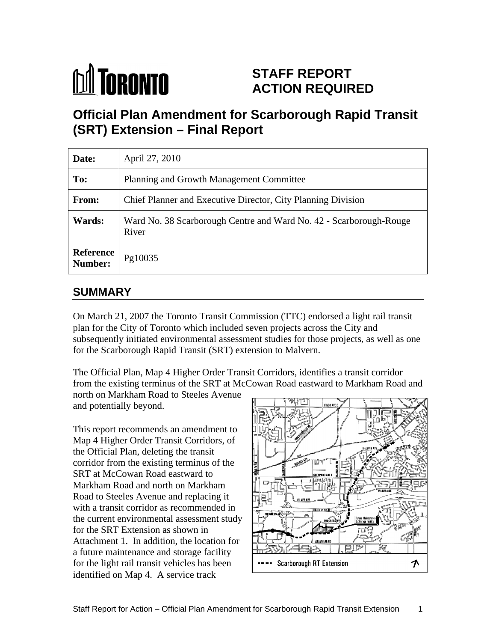

# **STAFF REPORT ACTION REQUIRED**

# **Official Plan Amendment for Scarborough Rapid Transit (SRT) Extension – Final Report**

| Date:                              | April 27, 2010                                                              |
|------------------------------------|-----------------------------------------------------------------------------|
| To:                                | Planning and Growth Management Committee                                    |
| From:                              | Chief Planner and Executive Director, City Planning Division                |
| <b>Wards:</b>                      | Ward No. 38 Scarborough Centre and Ward No. 42 - Scarborough-Rouge<br>River |
| <b>Reference</b><br><b>Number:</b> | Pg10035                                                                     |

## **SUMMARY**

On March 21, 2007 the Toronto Transit Commission (TTC) endorsed a light rail transit plan for the City of Toronto which included seven projects across the City and subsequently initiated environmental assessment studies for those projects, as well as one for the Scarborough Rapid Transit (SRT) extension to Malvern.

The Official Plan, Map 4 Higher Order Transit Corridors, identifies a transit corridor from the existing terminus of the SRT at McCowan Road eastward to Markham Road and

north on Markham Road to Steeles Avenue and potentially beyond.

This report recommends an amendment to Map 4 Higher Order Transit Corridors, of the Official Plan, deleting the transit corridor from the existing terminus of the SRT at McCowan Road eastward to Markham Road and north on Markham Road to Steeles Avenue and replacing it with a transit corridor as recommended in the current environmental assessment study for the SRT Extension as shown in Attachment 1. In addition, the location for a future maintenance and storage facility for the light rail transit vehicles has been  $\|\cdot\|$   $\cdot\|$  Scarborough RT Extension identified on Map 4. A service track

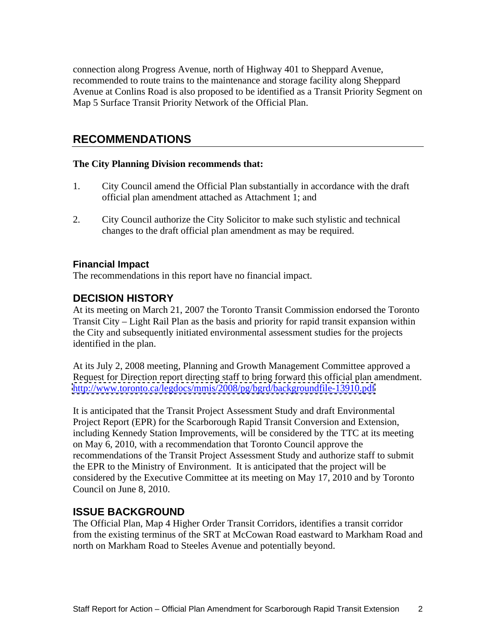connection along Progress Avenue, north of Highway 401 to Sheppard Avenue, recommended to route trains to the maintenance and storage facility along Sheppard Avenue at Conlins Road is also proposed to be identified as a Transit Priority Segment on Map 5 Surface Transit Priority Network of the Official Plan.

### **RECOMMENDATIONS**

#### **The City Planning Division recommends that:**

- 1. City Council amend the Official Plan substantially in accordance with the draft official plan amendment attached as Attachment 1; and
- 2. City Council authorize the City Solicitor to make such stylistic and technical changes to the draft official plan amendment as may be required.

### **Financial Impact**

The recommendations in this report have no financial impact.

### **DECISION HISTORY**

At its meeting on March 21, 2007 the Toronto Transit Commission endorsed the Toronto Transit City – Light Rail Plan as the basis and priority for rapid transit expansion within the City and subsequently initiated environmental assessment studies for the projects identified in the plan.

At its July 2, 2008 meeting, Planning and Growth Management Committee approved a Request for Direction report directing staff to bring forward this official plan amendment. <http://www.toronto.ca/legdocs/mmis/2008/pg/bgrd/backgroundfile-13910.pdf>

It is anticipated that the Transit Project Assessment Study and draft Environmental Project Report (EPR) for the Scarborough Rapid Transit Conversion and Extension, including Kennedy Station Improvements, will be considered by the TTC at its meeting on May 6, 2010, with a recommendation that Toronto Council approve the recommendations of the Transit Project Assessment Study and authorize staff to submit the EPR to the Ministry of Environment. It is anticipated that the project will be considered by the Executive Committee at its meeting on May 17, 2010 and by Toronto Council on June 8, 2010.

### **ISSUE BACKGROUND**

The Official Plan, Map 4 Higher Order Transit Corridors, identifies a transit corridor from the existing terminus of the SRT at McCowan Road eastward to Markham Road and north on Markham Road to Steeles Avenue and potentially beyond.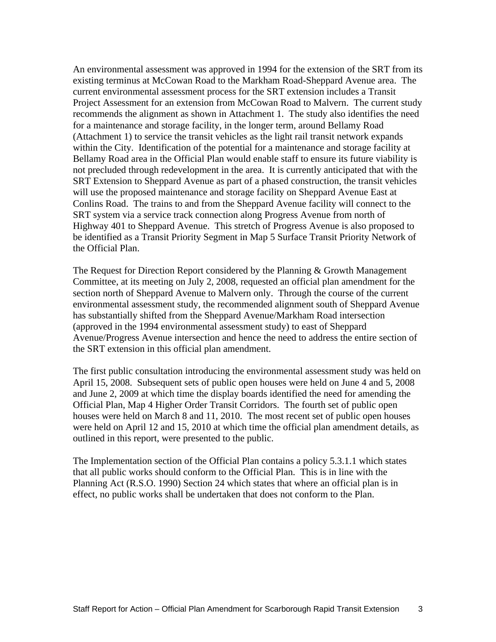An environmental assessment was approved in 1994 for the extension of the SRT from its existing terminus at McCowan Road to the Markham Road-Sheppard Avenue area. The current environmental assessment process for the SRT extension includes a Transit Project Assessment for an extension from McCowan Road to Malvern. The current study recommends the alignment as shown in Attachment 1. The study also identifies the need for a maintenance and storage facility, in the longer term, around Bellamy Road (Attachment 1) to service the transit vehicles as the light rail transit network expands within the City. Identification of the potential for a maintenance and storage facility at Bellamy Road area in the Official Plan would enable staff to ensure its future viability is not precluded through redevelopment in the area. It is currently anticipated that with the SRT Extension to Sheppard Avenue as part of a phased construction, the transit vehicles will use the proposed maintenance and storage facility on Sheppard Avenue East at Conlins Road. The trains to and from the Sheppard Avenue facility will connect to the SRT system via a service track connection along Progress Avenue from north of Highway 401 to Sheppard Avenue. This stretch of Progress Avenue is also proposed to be identified as a Transit Priority Segment in Map 5 Surface Transit Priority Network of the Official Plan.

The Request for Direction Report considered by the Planning & Growth Management Committee, at its meeting on July 2, 2008, requested an official plan amendment for the section north of Sheppard Avenue to Malvern only. Through the course of the current environmental assessment study, the recommended alignment south of Sheppard Avenue has substantially shifted from the Sheppard Avenue/Markham Road intersection (approved in the 1994 environmental assessment study) to east of Sheppard Avenue/Progress Avenue intersection and hence the need to address the entire section of the SRT extension in this official plan amendment.

The first public consultation introducing the environmental assessment study was held on April 15, 2008. Subsequent sets of public open houses were held on June 4 and 5, 2008 and June 2, 2009 at which time the display boards identified the need for amending the Official Plan, Map 4 Higher Order Transit Corridors. The fourth set of public open houses were held on March 8 and 11, 2010. The most recent set of public open houses were held on April 12 and 15, 2010 at which time the official plan amendment details, as outlined in this report, were presented to the public.

The Implementation section of the Official Plan contains a policy 5.3.1.1 which states that all public works should conform to the Official Plan. This is in line with the Planning Act (R.S.O. 1990) Section 24 which states that where an official plan is in effect, no public works shall be undertaken that does not conform to the Plan.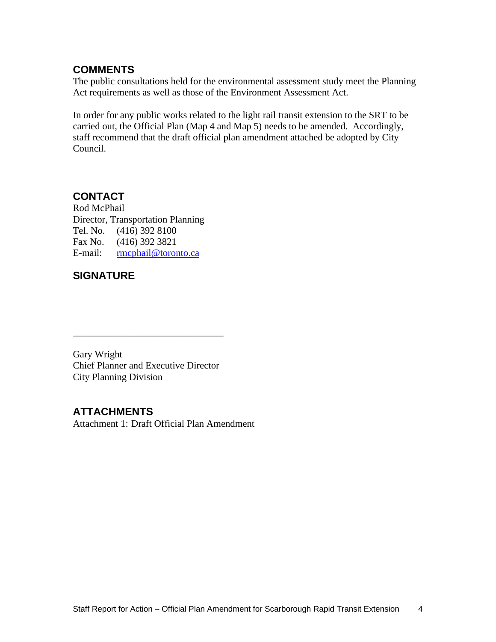### **COMMENTS**

The public consultations held for the environmental assessment study meet the Planning Act requirements as well as those of the Environment Assessment Act.

In order for any public works related to the light rail transit extension to the SRT to be carried out, the Official Plan (Map 4 and Map 5) needs to be amended. Accordingly, staff recommend that the draft official plan amendment attached be adopted by City Council.

 $\overline{\phantom{a}}$  , we can assume that the contract of  $\overline{\phantom{a}}$  , we can assume that the contract of  $\overline{\phantom{a}}$ 

# **CONTACT**

Rod McPhail Director, Transportation Planning Tel. No. (416) 392 8100 Fax No. (416) 392 3821 E-mail: <u>rmcphail@toronto.ca</u>

## **SIGNATURE**

Gary Wright Chief Planner and Executive Director City Planning Division

# **ATTACHMENTS**

Attachment 1: Draft Official Plan Amendment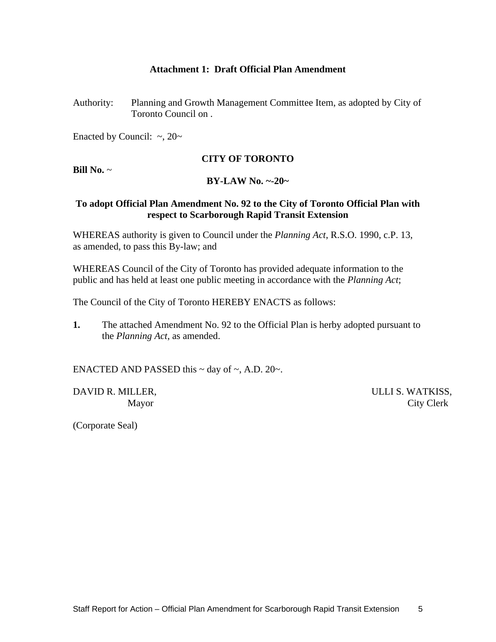#### **Attachment 1: Draft Official Plan Amendment**

Authority: Planning and Growth Management Committee Item, as adopted by City of Toronto Council on .

Enacted by Council:  $\sim$ , 20 $\sim$ 

#### **CITY OF TORONTO**

**Bill No.** ~

### **BY-LAW No. ~-20~**

#### **To adopt Official Plan Amendment No. 92 to the City of Toronto Official Plan with respect to Scarborough Rapid Transit Extension**

WHEREAS authority is given to Council under the *Planning Act*, R.S.O. 1990, c.P. 13, as amended, to pass this By-law; and

WHEREAS Council of the City of Toronto has provided adequate information to the public and has held at least one public meeting in accordance with the *Planning Act*;

The Council of the City of Toronto HEREBY ENACTS as follows:

**1.** The attached Amendment No. 92 to the Official Plan is herby adopted pursuant to the *Planning Act*, as amended.

ENACTED AND PASSED this  $\sim$  day of  $\sim$ , A.D. 20 $\sim$ .

DAVID R. MILLER, SALLI S. WATKISS,

Mayor City Clerk

(Corporate Seal)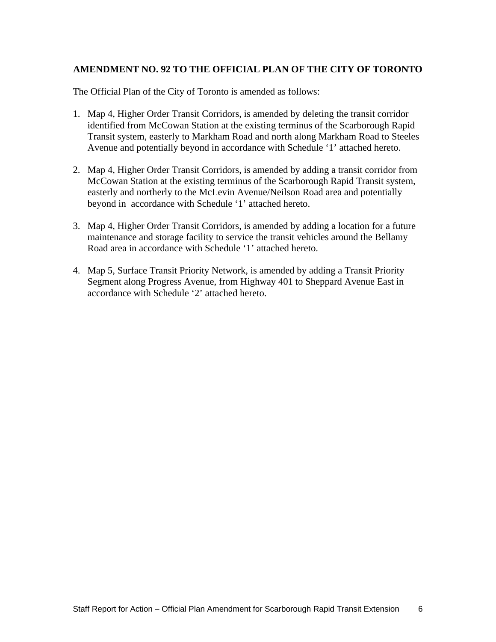### **AMENDMENT NO. 92 TO THE OFFICIAL PLAN OF THE CITY OF TORONTO**

The Official Plan of the City of Toronto is amended as follows:

- 1. Map 4, Higher Order Transit Corridors, is amended by deleting the transit corridor identified from McCowan Station at the existing terminus of the Scarborough Rapid Transit system, easterly to Markham Road and north along Markham Road to Steeles Avenue and potentially beyond in accordance with Schedule '1' attached hereto.
- 2. Map 4, Higher Order Transit Corridors, is amended by adding a transit corridor from McCowan Station at the existing terminus of the Scarborough Rapid Transit system, easterly and northerly to the McLevin Avenue/Neilson Road area and potentially beyond in accordance with Schedule '1' attached hereto.
- 3. Map 4, Higher Order Transit Corridors, is amended by adding a location for a future maintenance and storage facility to service the transit vehicles around the Bellamy Road area in accordance with Schedule '1' attached hereto.
- 4. Map 5, Surface Transit Priority Network, is amended by adding a Transit Priority Segment along Progress Avenue, from Highway 401 to Sheppard Avenue East in accordance with Schedule '2' attached hereto.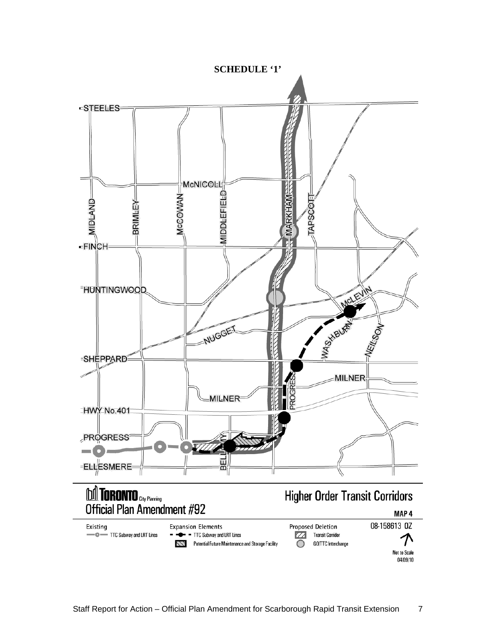